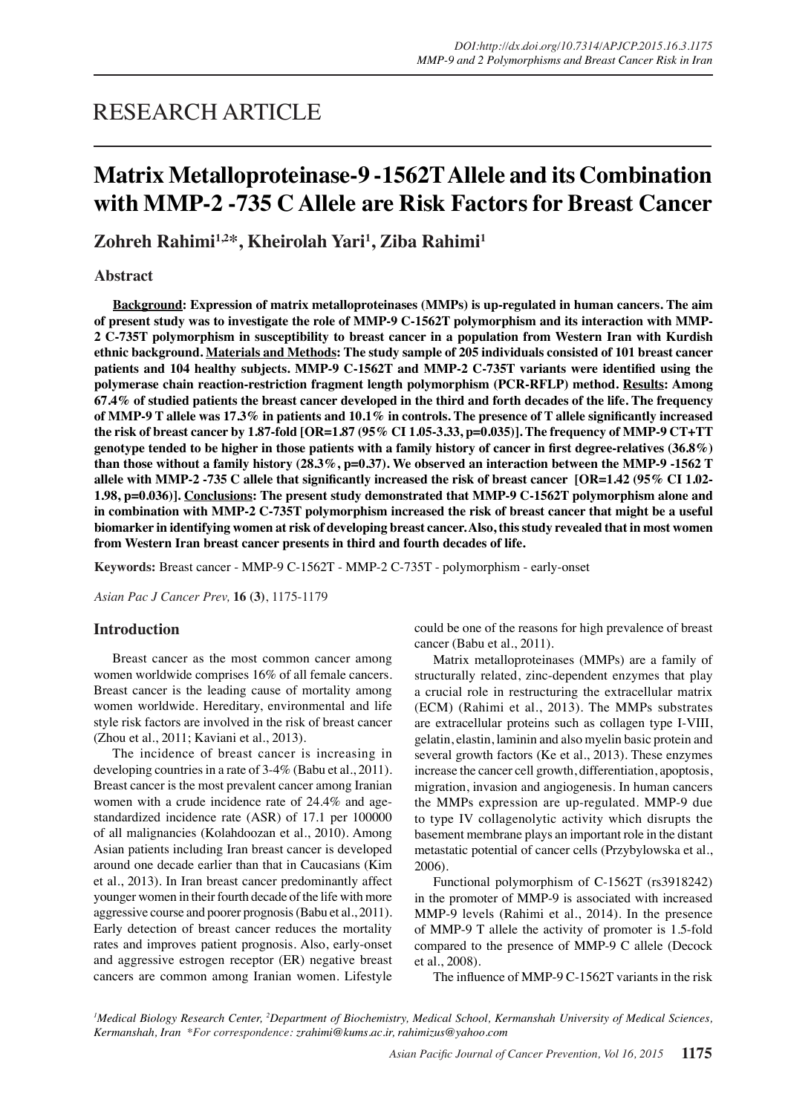# RESEARCH ARTICLE

# **Matrix Metalloproteinase-9 -1562T Allele and its Combination with MMP-2 -735 C Allele are Risk Factors for Breast Cancer**

**Zohreh Rahimi1,2\*, Kheirolah Yari1 , Ziba Rahimi1**

**Abstract**

**Background: Expression of matrix metalloproteinases (MMPs) is up-regulated in human cancers. The aim of present study was to investigate the role of MMP-9 C-1562T polymorphism and its interaction with MMP-2 C-735T polymorphism in susceptibility to breast cancer in a population from Western Iran with Kurdish ethnic background. Materials and Methods: The study sample of 205 individuals consisted of 101 breast cancer patients and 104 healthy subjects. MMP-9 C-1562T and MMP-2 C-735T variants were identified using the polymerase chain reaction-restriction fragment length polymorphism (PCR-RFLP) method. Results: Among 67.4% of studied patients the breast cancer developed in the third and forth decades of the life. The frequency of MMP-9 T allele was 17.3% in patients and 10.1% in controls. The presence of T allele significantly increased the risk of breast cancer by 1.87-fold [OR=1.87 (95% CI 1.05-3.33, p=0.035)]. The frequency of MMP-9 CT+TT genotype tended to be higher in those patients with a family history of cancer in first degree-relatives (36.8%) than those without a family history (28.3%, p=0.37). We observed an interaction between the MMP-9 -1562 T allele with MMP-2 -735 C allele that significantly increased the risk of breast cancer [OR=1.42 (95% CI 1.02- 1.98, p=0.036)]. Conclusions: The present study demonstrated that MMP-9 C-1562T polymorphism alone and in combination with MMP-2 C-735T polymorphism increased the risk of breast cancer that might be a useful biomarker in identifying women at risk of developing breast cancer. Also, this study revealed that in most women from Western Iran breast cancer presents in third and fourth decades of life.**

**Keywords:** Breast cancer - MMP-9 C-1562T - MMP-2 C-735T - polymorphism - early-onset

*Asian Pac J Cancer Prev,* **16 (3)**, 1175-1179

# **Introduction**

Breast cancer as the most common cancer among women worldwide comprises 16% of all female cancers. Breast cancer is the leading cause of mortality among women worldwide. Hereditary, environmental and life style risk factors are involved in the risk of breast cancer (Zhou et al., 2011; Kaviani et al., 2013).

The incidence of breast cancer is increasing in developing countries in a rate of 3-4% (Babu et al., 2011). Breast cancer is the most prevalent cancer among Iranian women with a crude incidence rate of 24.4% and agestandardized incidence rate (ASR) of 17.1 per 100000 of all malignancies (Kolahdoozan et al., 2010). Among Asian patients including Iran breast cancer is developed around one decade earlier than that in Caucasians (Kim et al., 2013). In Iran breast cancer predominantly affect younger women in their fourth decade of the life with more aggressive course and poorer prognosis (Babu et al., 2011). Early detection of breast cancer reduces the mortality rates and improves patient prognosis. Also, early-onset and aggressive estrogen receptor (ER) negative breast cancers are common among Iranian women. Lifestyle

could be one of the reasons for high prevalence of breast cancer (Babu et al., 2011).

Matrix metalloproteinases (MMPs) are a family of structurally related, zinc-dependent enzymes that play a crucial role in restructuring the extracellular matrix (ECM) (Rahimi et al., 2013). The MMPs substrates are extracellular proteins such as collagen type I-VIII, gelatin, elastin, laminin and also myelin basic protein and several growth factors (Ke et al., 2013). These enzymes increase the cancer cell growth, differentiation, apoptosis, migration, invasion and angiogenesis. In human cancers the MMPs expression are up-regulated. MMP-9 due to type IV collagenolytic activity which disrupts the basement membrane plays an important role in the distant metastatic potential of cancer cells (Przybylowska et al., 2006).

Functional polymorphism of C-1562T (rs3918242) in the promoter of MMP-9 is associated with increased MMP-9 levels (Rahimi et al., 2014). In the presence of MMP-9 T allele the activity of promoter is 1.5-fold compared to the presence of MMP-9 C allele (Decock et al., 2008).

The influence of MMP-9 C-1562T variants in the risk

<sup>1</sup>Medical Biology Research Center, <sup>2</sup>Department of Biochemistry, Medical School, Kermanshah University of Medical Sciences, *Kermanshah, Iran \*For correspondence: zrahimi@kums.ac.ir, rahimizus@yahoo.com*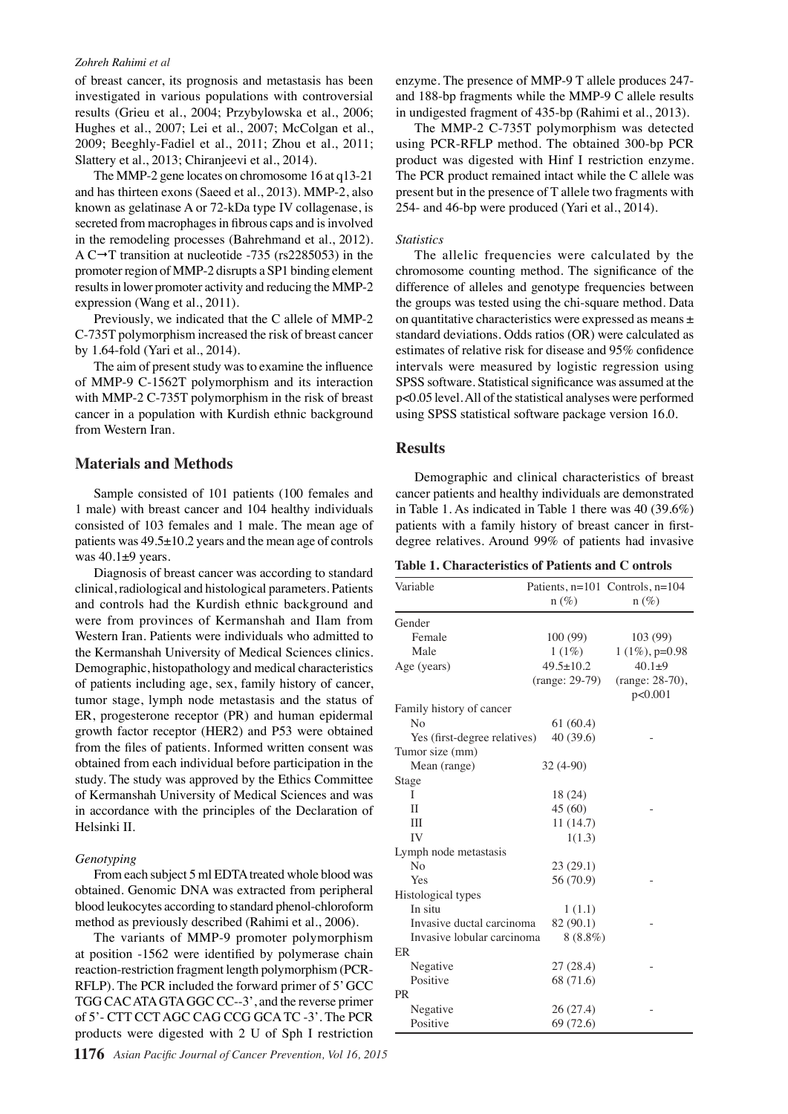#### *Zohreh Rahimi et al*

of breast cancer, its prognosis and metastasis has been investigated in various populations with controversial results (Grieu et al., 2004; Przybylowska et al., 2006; Hughes et al., 2007; Lei et al., 2007; McColgan et al., 2009; Beeghly-Fadiel et al., 2011; Zhou et al., 2011; Slattery et al., 2013; Chiranjeevi et al., 2014).

The MMP-2 gene locates on chromosome 16 at q13-21 and has thirteen exons (Saeed et al., 2013). MMP-2, also known as gelatinase A or 72-kDa type IV collagenase, is secreted from macrophages in fibrous caps and is involved in the remodeling processes (Bahrehmand et al., 2012). A C $\rightarrow$ T transition at nucleotide -735 (rs2285053) in the promoter region of MMP-2 disrupts a SP1 binding element results in lower promoter activity and reducing the MMP-2 expression (Wang et al., 2011).

Previously, we indicated that the C allele of MMP-2 C-735T polymorphism increased the risk of breast cancer by 1.64-fold (Yari et al., 2014).

The aim of present study was to examine the influence of MMP-9 C-1562T polymorphism and its interaction with MMP-2 C-735T polymorphism in the risk of breast cancer in a population with Kurdish ethnic background from Western Iran.

# **Materials and Methods**

Sample consisted of 101 patients (100 females and 1 male) with breast cancer and 104 healthy individuals consisted of 103 females and 1 male. The mean age of patients was 49.5±10.2 years and the mean age of controls was 40.1±9 years.

Diagnosis of breast cancer was according to standard clinical, radiological and histological parameters. Patients and controls had the Kurdish ethnic background and were from provinces of Kermanshah and Ilam from Western Iran. Patients were individuals who admitted to the Kermanshah University of Medical Sciences clinics. Demographic, histopathology and medical characteristics of patients including age, sex, family history of cancer, tumor stage, lymph node metastasis and the status of ER, progesterone receptor (PR) and human epidermal growth factor receptor (HER2) and P53 were obtained from the files of patients. Informed written consent was obtained from each individual before participation in the study. The study was approved by the Ethics Committee of Kermanshah University of Medical Sciences and was in accordance with the principles of the Declaration of Helsinki II.

#### *Genotyping*

From each subject 5 ml EDTA treated whole blood was obtained. Genomic DNA was extracted from peripheral blood leukocytes according to standard phenol-chloroform method as previously described (Rahimi et al., 2006).

The variants of MMP-9 promoter polymorphism at position -1562 were identified by polymerase chain reaction-restriction fragment length polymorphism (PCR-RFLP). The PCR included the forward primer of 5' GCC TGG CAC ATA GTA GGC CC--3', and the reverse primer of 5'- CTT CCT AGC CAG CCG GCA TC -3'. The PCR products were digested with 2 U of Sph I restriction

**1176** *Asian Pacific Journal of Cancer Prevention, Vol 16, 2015*

enzyme. The presence of MMP-9 T allele produces 247 and 188-bp fragments while the MMP-9 C allele results in undigested fragment of 435-bp (Rahimi et al., 2013).

The MMP-2 C-735T polymorphism was detected using PCR-RFLP method. The obtained 300-bp PCR product was digested with Hinf I restriction enzyme. The PCR product remained intact while the C allele was present but in the presence of T allele two fragments with 254- and 46-bp were produced (Yari et al., 2014).

#### *Statistics*

The allelic frequencies were calculated by the chromosome counting method. The significance of the difference of alleles and genotype frequencies between the groups was tested using the chi-square method. Data on quantitative characteristics were expressed as means ± standard deviations. Odds ratios (OR) were calculated as estimates of relative risk for disease and 95% confidence intervals were measured by logistic regression using SPSS software. Statistical significance was assumed at the p<0.05 level. All of the statistical analyses were performed using SPSS statistical software package version 16.0.

## **Results**

Demographic and clinical characteristics of breast cancer patients and healthy individuals are demonstrated in Table 1. As indicated in Table 1 there was 40 (39.6%) patients with a family history of breast cancer in firstdegree relatives. Around 99% of patients had invasive

|  | Table 1. Characteristics of Patients and C ontrols |  |  |
|--|----------------------------------------------------|--|--|
|--|----------------------------------------------------|--|--|

| Variable                     |                  | Patients, n=101 Controls, n=104 |
|------------------------------|------------------|---------------------------------|
|                              | $n (\%)$         | $n(\%)$                         |
| Gender                       |                  |                                 |
| Female                       | 100(99)          | 103(99)                         |
| Male                         | $1(1\%)$         | $1(1\%)$ , p=0.98               |
| Age (years)                  | $49.5 \pm 10.2$  | $40.1 + 9$                      |
|                              | $(range: 29-79)$ | (range: 28-70),                 |
| Family history of cancer     |                  | p<0.001                         |
| N <sub>0</sub>               | 61(60.4)         |                                 |
| Yes (first-degree relatives) | 40 (39.6)        |                                 |
| Tumor size (mm)              |                  |                                 |
| Mean (range)                 | $32(4-90)$       |                                 |
| Stage                        |                  |                                 |
| T                            | 18 (24)          |                                 |
| $\mathbf{I}$                 | 45 (60)          |                                 |
| IΙI                          | 11(14.7)         |                                 |
| IV                           | 1(1.3)           |                                 |
| Lymph node metastasis        |                  |                                 |
| No                           | 23(29.1)         |                                 |
| Yes                          | 56 (70.9)        |                                 |
| Histological types           |                  |                                 |
| In situ                      | 1(1.1)           |                                 |
| Invasive ductal carcinoma    | 82 (90.1)        |                                 |
| Invasive lobular carcinoma   | $8(8.8\%)$       |                                 |
| ER.                          |                  |                                 |
| Negative                     | 27(28.4)         |                                 |
| Positive                     | 68 (71.6)        |                                 |
| <b>PR</b>                    |                  |                                 |
| Negative                     | 26(27.4)         |                                 |
| Positive                     | 69 (72.6)        |                                 |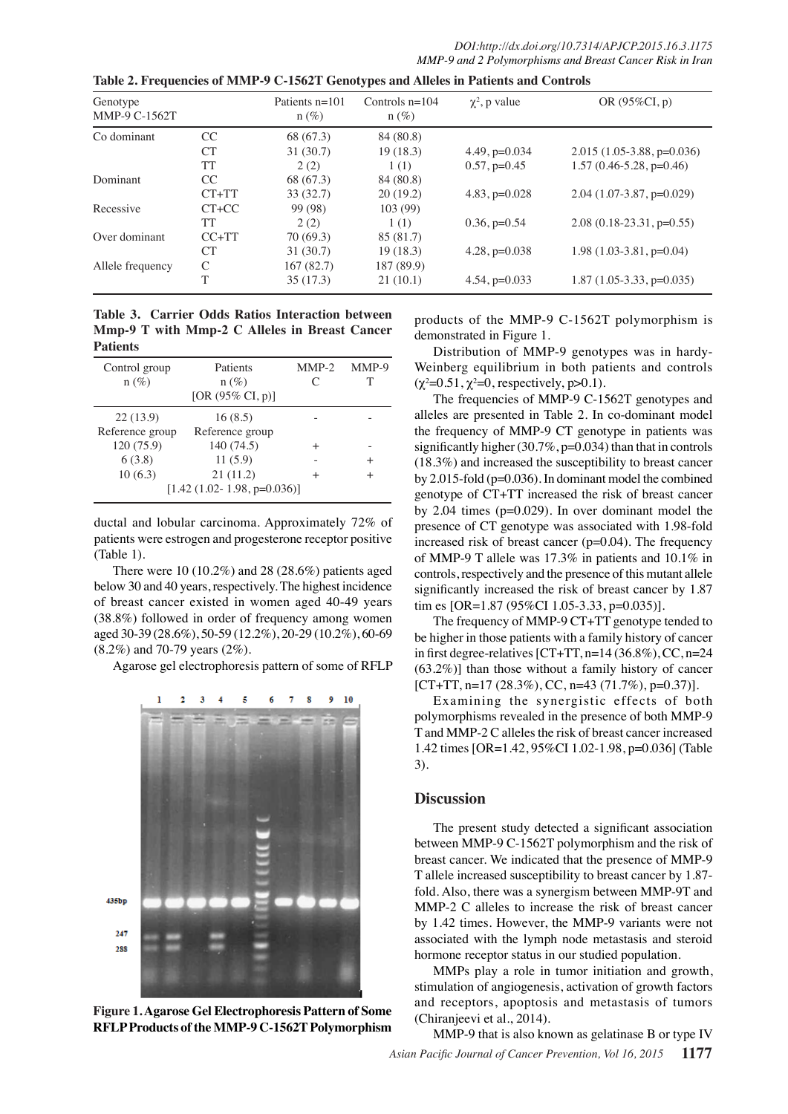| Genotype<br>MMP-9 C-1562T |            | Patients $n=101$<br>$n(\%)$ | Controls $n=104$<br>$n(\%)$ | $\chi^2$ , p value | OR $(95\%CI, p)$            |
|---------------------------|------------|-----------------------------|-----------------------------|--------------------|-----------------------------|
| Co dominant               | CC.        | 68 (67.3)                   | 84 (80.8)                   |                    |                             |
|                           | <b>CT</b>  | 31(30.7)                    | 19(18.3)                    | $4.49$ , $p=0.034$ | $2.015(1.05-3.88, p=0.036)$ |
|                           | TT         | 2(2)                        | 1(1)                        | $0.57, p=0.45$     | $1.57(0.46-5.28, p=0.46)$   |
| Dominant                  | CC         | 68 (67.3)                   | 84 (80.8)                   |                    |                             |
|                           | $CT+TT$    | 33(32.7)                    | 20(19.2)                    | $4.83, p=0.028$    | $2.04(1.07-3.87, p=0.029)$  |
| Recessive                 | $CT+CC$    | 99 (98)                     | 103(99)                     |                    |                             |
|                           | TT         | 2(2)                        | 1(1)                        | $0.36, p=0.54$     | $2.08(0.18-23.31, p=0.55)$  |
| Over dominant             | $C C + TT$ | 70(69.3)                    | 85 (81.7)                   |                    |                             |
|                           | CТ         | 31(30.7)                    | 19(18.3)                    | $4.28$ , $p=0.038$ | $1.98(1.03-3.81, p=0.04)$   |
| Allele frequency          | C          | 167(82.7)                   | 187 (89.9)                  |                    |                             |
|                           | T          | 35(17.3)                    | 21(10.1)                    | $4.54$ , $p=0.033$ | $1.87(1.05-3.33, p=0.035)$  |

**Table 3. Carrier Odds Ratios Interaction between Mmp-9 T with Mmp-2 C Alleles in Breast Cancer Patients**

| Control group<br>$n(\%)$ | Patients<br>$n(\%)$<br>[OR $(95\% \text{ CI}, p)$ ] | $MMP-2$<br>C | MMP-9<br>т |
|--------------------------|-----------------------------------------------------|--------------|------------|
| 22(13.9)                 | 16(8.5)                                             |              |            |
| Reference group          | Reference group                                     |              |            |
| 120 (75.9)               | 140 (74.5)                                          | $^{+}$       |            |
| 6(3.8)                   | 11(5.9)                                             |              | $^{+}$     |
| 10(6.3)                  | 21(11.2)                                            |              |            |
|                          | $[1.42 (1.02 - 1.98, p=0.036)]$                     |              |            |

ductal and lobular carcinoma. Approximately 72% of patients were estrogen and progesterone receptor positive (Table 1).

There were 10 (10.2%) and 28 (28.6%) patients aged below 30 and 40 years, respectively. The highest incidence of breast cancer existed in women aged 40-49 years (38.8%) followed in order of frequency among women aged 30-39 (28.6%), 50-59 (12.2%), 20-29 (10.2%), 60-69 (8.2%) and 70-79 years (2%).

Agarose gel electrophoresis pattern of some of RFLP



**Figure 1. Agarose Gel Electrophoresis Pattern of Some RFLP Products of the MMP-9 C-1562T Polymorphism**

products of the MMP-9 C-1562T polymorphism is demonstrated in Figure 1.

Distribution of MMP-9 genotypes was in hardy-Weinberg equilibrium in both patients and controls  $(\chi^2 = 0.51, \chi^2 = 0$ , respectively, p>0.1).

The frequencies of MMP-9 C-1562T genotypes and alleles are presented in Table 2. In co-dominant model the frequency of MMP-9 CT genotype in patients was significantly higher  $(30.7\%, p=0.034)$  than that in controls (18.3%) and increased the susceptibility to breast cancer by 2.015-fold (p=0.036). In dominant model the combined genotype of CT+TT increased the risk of breast cancer by 2.04 times (p=0.029). In over dominant model the presence of CT genotype was associated with 1.98-fold increased risk of breast cancer (p=0.04). The frequency of MMP-9 T allele was 17.3% in patients and 10.1% in controls, respectively and the presence of this mutant allele significantly increased the risk of breast cancer by 1.87 tim es  $[OR=1.87 (95\% CI 1.05-3.33, p=0.035)].$ 

The frequency of MMP-9 CT+TT genotype tended to be higher in those patients with a family history of cancer in first degree-relatives  $[CT+TT, n=14 (36.8\%), CC, n=24]$ (63.2%)] than those without a family history of cancer  $[CT+TT, n=17 (28.3\%), CC, n=43 (71.7\%), p=0.37)].$ 

Examining the synergistic effects of both polymorphisms revealed in the presence of both MMP-9 T and MMP-2 C alleles the risk of breast cancer increased 1.42 times [OR=1.42, 95%CI 1.02-1.98, p=0.036] (Table 3).

## **Discussion**

The present study detected a significant association between MMP-9 C-1562T polymorphism and the risk of breast cancer. We indicated that the presence of MMP-9 T allele increased susceptibility to breast cancer by 1.87 fold. Also, there was a synergism between MMP-9T and MMP-2 C alleles to increase the risk of breast cancer by 1.42 times. However, the MMP-9 variants were not associated with the lymph node metastasis and steroid hormone receptor status in our studied population.

MMPs play a role in tumor initiation and growth, stimulation of angiogenesis, activation of growth factors and receptors, apoptosis and metastasis of tumors (Chiranjeevi et al., 2014).

*Asian Pacific Journal of Cancer Prevention, Vol 16, 2015* **1177** MMP-9 that is also known as gelatinase B or type IV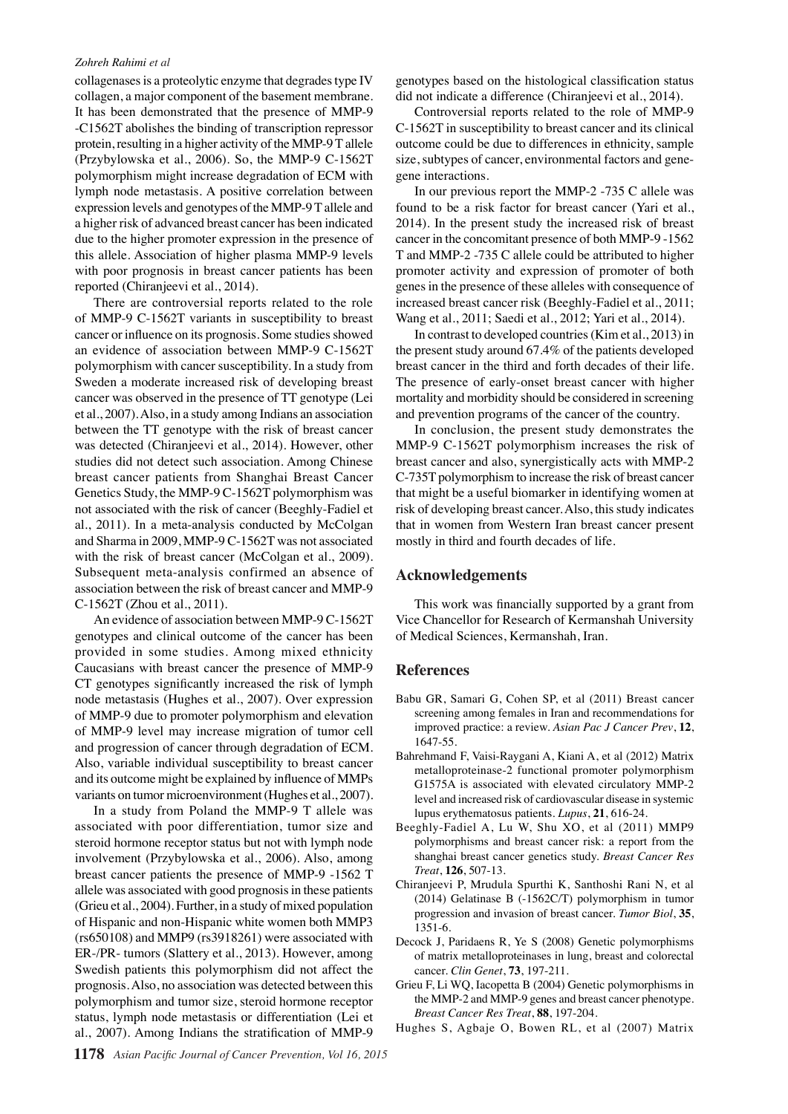#### *Zohreh Rahimi et al*

collagenases is a proteolytic enzyme that degrades type IV collagen, a major component of the basement membrane. It has been demonstrated that the presence of MMP-9 -C1562T abolishes the binding of transcription repressor protein, resulting in a higher activity of the MMP-9 T allele (Przybylowska et al., 2006). So, the MMP-9 C-1562T polymorphism might increase degradation of ECM with lymph node metastasis. A positive correlation between expression levels and genotypes of the MMP-9 T allele and a higher risk of advanced breast cancer has been indicated due to the higher promoter expression in the presence of this allele. Association of higher plasma MMP-9 levels with poor prognosis in breast cancer patients has been reported (Chiranjeevi et al., 2014).

There are controversial reports related to the role of MMP-9 C-1562T variants in susceptibility to breast cancer or influence on its prognosis. Some studies showed an evidence of association between MMP-9 C-1562T polymorphism with cancer susceptibility. In a study from Sweden a moderate increased risk of developing breast cancer was observed in the presence of TT genotype (Lei et al., 2007). Also, in a study among Indians an association between the TT genotype with the risk of breast cancer was detected (Chiranjeevi et al., 2014). However, other studies did not detect such association. Among Chinese breast cancer patients from Shanghai Breast Cancer Genetics Study, the MMP-9 C-1562T polymorphism was not associated with the risk of cancer (Beeghly-Fadiel et al., 2011). In a meta-analysis conducted by McColgan and Sharma in 2009, MMP-9 C-1562T was not associated with the risk of breast cancer (McColgan et al., 2009). Subsequent meta-analysis confirmed an absence of association between the risk of breast cancer and MMP-9 C-1562T (Zhou et al., 2011).

An evidence of association between MMP-9 C-1562T genotypes and clinical outcome of the cancer has been provided in some studies. Among mixed ethnicity Caucasians with breast cancer the presence of MMP-9 CT genotypes significantly increased the risk of lymph node metastasis (Hughes et al., 2007). Over expression of MMP-9 due to promoter polymorphism and elevation of MMP-9 level may increase migration of tumor cell and progression of cancer through degradation of ECM. Also, variable individual susceptibility to breast cancer and its outcome might be explained by influence of MMPs variants on tumor microenvironment (Hughes et al., 2007).

In a study from Poland the MMP-9 T allele was associated with poor differentiation, tumor size and steroid hormone receptor status but not with lymph node involvement (Przybylowska et al., 2006). Also, among breast cancer patients the presence of MMP-9 -1562 T allele was associated with good prognosis in these patients (Grieu et al., 2004). Further, in a study of mixed population of Hispanic and non-Hispanic white women both MMP3 (rs650108) and MMP9 (rs3918261) were associated with ER-/PR- tumors (Slattery et al., 2013). However, among Swedish patients this polymorphism did not affect the prognosis. Also, no association was detected between this polymorphism and tumor size, steroid hormone receptor status, lymph node metastasis or differentiation (Lei et al., 2007). Among Indians the stratification of MMP-9

genotypes based on the histological classification status did not indicate a difference (Chiranjeevi et al., 2014).

Controversial reports related to the role of MMP-9 C-1562T in susceptibility to breast cancer and its clinical outcome could be due to differences in ethnicity, sample size, subtypes of cancer, environmental factors and genegene interactions.

In our previous report the MMP-2 -735 C allele was found to be a risk factor for breast cancer (Yari et al., 2014). In the present study the increased risk of breast cancer in the concomitant presence of both MMP-9 -1562 T and MMP-2 -735 C allele could be attributed to higher promoter activity and expression of promoter of both genes in the presence of these alleles with consequence of increased breast cancer risk (Beeghly-Fadiel et al., 2011; Wang et al., 2011; Saedi et al., 2012; Yari et al., 2014).

In contrast to developed countries (Kim et al., 2013) in the present study around 67.4% of the patients developed breast cancer in the third and forth decades of their life. The presence of early-onset breast cancer with higher mortality and morbidity should be considered in screening and prevention programs of the cancer of the country.

In conclusion, the present study demonstrates the MMP-9 C-1562T polymorphism increases the risk of breast cancer and also, synergistically acts with MMP-2 C-735T polymorphism to increase the risk of breast cancer that might be a useful biomarker in identifying women at risk of developing breast cancer. Also, this study indicates that in women from Western Iran breast cancer present mostly in third and fourth decades of life.

## **Acknowledgements**

This work was financially supported by a grant from Vice Chancellor for Research of Kermanshah University of Medical Sciences, Kermanshah, Iran.

## **References**

- Babu GR, Samari G, Cohen SP, et al (2011) Breast cancer screening among females in Iran and recommendations for improved practice: a review. *Asian Pac J Cancer Prev*, **12**, 1647-55.
- Bahrehmand F, Vaisi-Raygani A, Kiani A, et al (2012) Matrix metalloproteinase-2 functional promoter polymorphism G1575A is associated with elevated circulatory MMP-2 level and increased risk of cardiovascular disease in systemic lupus erythematosus patients. *Lupus*, **21**, 616-24.
- Beeghly-Fadiel A, Lu W, Shu XO, et al (2011) MMP9 polymorphisms and breast cancer risk: a report from the shanghai breast cancer genetics study. *Breast Cancer Res Treat*, **126**, 507-13.
- Chiranjeevi P, Mrudula Spurthi K, Santhoshi Rani N, et al (2014) Gelatinase B (-1562C/T) polymorphism in tumor progression and invasion of breast cancer. *Tumor Biol*, **35**, 1351-6.
- Decock J, Paridaens R, Ye S (2008) Genetic polymorphisms of matrix metalloproteinases in lung, breast and colorectal cancer. *Clin Genet*, **73**, 197-211.
- Grieu F, Li WQ, Iacopetta B (2004) Genetic polymorphisms in the MMP-2 and MMP-9 genes and breast cancer phenotype. *Breast Cancer Res Treat*, **88**, 197-204.
- Hughes S, Agbaje O, Bowen RL, et al (2007) Matrix